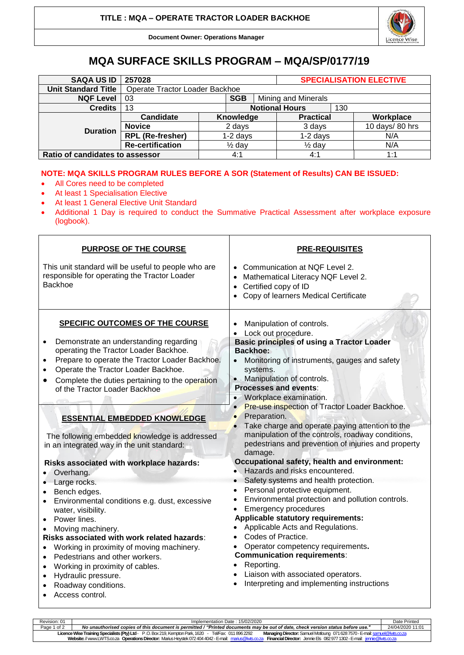

**Document Owner: Operations Manager**

## **MQA SURFACE SKILLS PROGRAM – MQA/SP/0177/19**

| <b>SAQA US ID</b>               | 257028                         |                   |            |                       | <b>SPECIALISATION ELECTIVE</b> |     |                |
|---------------------------------|--------------------------------|-------------------|------------|-----------------------|--------------------------------|-----|----------------|
| <b>Unit Standard Title</b>      | Operate Tractor Loader Backhoe |                   |            |                       |                                |     |                |
| <b>NQF Level</b>                | 03                             |                   | <b>SGB</b> | Mining and Minerals   |                                |     |                |
| <b>Credits</b>                  | 13                             |                   |            | <b>Notional Hours</b> |                                | 130 |                |
| <b>Duration</b>                 | Candidate                      |                   | Knowledge  |                       | <b>Practical</b>               |     | Workplace      |
|                                 | <b>Novice</b>                  | 2 days            |            |                       | 3 days                         |     | 10 days/80 hrs |
|                                 | <b>RPL</b> (Re-fresher)        |                   | $1-2$ days |                       | $1-2$ days                     |     | N/A            |
|                                 | <b>Re-certification</b>        | $\frac{1}{2}$ day |            |                       | $\frac{1}{2}$ day              |     | N/A            |
| Ratio of candidates to assessor |                                |                   | 4:1        |                       | 4:1                            |     | 1:1            |

## **NOTE: MQA SKILLS PROGRAM RULES BEFORE A SOR (Statement of Results) CAN BE ISSUED:**

- All Cores need to be completed
- At least 1 Specialisation Elective

Г

- At least 1 General Elective Unit Standard
- Additional 1 Day is required to conduct the Summative Practical Assessment after workplace exposure (logbook).

| PURPOSE OF THE COURSE                                                                                                                                                                                                                                                                                                                                                                                                                                                                                                                                                                                                                                                                                                                                                                                                                                                                                                                                             | <b>PRE-REQUISITES</b>                                                                                                                                                                                                                                                                                                                                                                                                                                                                                                                                                                                                                                                                                                                                                                                                                                                                                                                                                                                                                                   |  |  |  |  |
|-------------------------------------------------------------------------------------------------------------------------------------------------------------------------------------------------------------------------------------------------------------------------------------------------------------------------------------------------------------------------------------------------------------------------------------------------------------------------------------------------------------------------------------------------------------------------------------------------------------------------------------------------------------------------------------------------------------------------------------------------------------------------------------------------------------------------------------------------------------------------------------------------------------------------------------------------------------------|---------------------------------------------------------------------------------------------------------------------------------------------------------------------------------------------------------------------------------------------------------------------------------------------------------------------------------------------------------------------------------------------------------------------------------------------------------------------------------------------------------------------------------------------------------------------------------------------------------------------------------------------------------------------------------------------------------------------------------------------------------------------------------------------------------------------------------------------------------------------------------------------------------------------------------------------------------------------------------------------------------------------------------------------------------|--|--|--|--|
| This unit standard will be useful to people who are<br>responsible for operating the Tractor Loader<br><b>Backhoe</b>                                                                                                                                                                                                                                                                                                                                                                                                                                                                                                                                                                                                                                                                                                                                                                                                                                             | Communication at NQF Level 2.<br>Mathematical Literacy NQF Level 2.<br>Certified copy of ID<br>Copy of learners Medical Certificate                                                                                                                                                                                                                                                                                                                                                                                                                                                                                                                                                                                                                                                                                                                                                                                                                                                                                                                     |  |  |  |  |
| <b>SPECIFIC OUTCOMES OF THE COURSE</b><br>Demonstrate an understanding regarding<br>$\bullet$<br>operating the Tractor Loader Backhoe.<br>Prepare to operate the Tractor Loader Backhoe.<br>Operate the Tractor Loader Backhoe.<br>Complete the duties pertaining to the operation<br>of the Tractor Loader Backhoe<br><b>ESSENTIAL EMBEDDED KNOWLEDGE</b><br>The following embedded knowledge is addressed<br>in an integrated way in the unit standard:<br>Risks associated with workplace hazards:<br>Overhang.<br>Large rocks.<br>Bench edges.<br>Environmental conditions e.g. dust, excessive<br>water, visibility.<br>Power lines.<br>$\bullet$<br>Moving machinery.<br>Risks associated with work related hazards:<br>Working in proximity of moving machinery.<br>$\bullet$<br>Pedestrians and other workers.<br>$\bullet$<br>Working in proximity of cables.<br>$\bullet$<br>Hydraulic pressure.<br>$\bullet$<br>Roadway conditions.<br>Access control. | Manipulation of controls.<br>Lock out procedure.<br><b>Basic principles of using a Tractor Loader</b><br><b>Backhoe:</b><br>Monitoring of instruments, gauges and safety<br>systems.<br>• Manipulation of controls.<br><b>Processes and events:</b><br>Workplace examination.<br>Pre-use inspection of Tractor Loader Backhoe.<br>Preparation.<br>Take charge and operate paying attention to the<br>manipulation of the controls, roadway conditions,<br>pedestrians and prevention of injuries and property<br>damage.<br>Occupational safety, health and environment:<br>Hazards and risks encountered.<br>Safety systems and health protection.<br>Personal protective equipment.<br>Environmental protection and pollution controls.<br><b>Emergency procedures</b><br>Applicable statutory requirements:<br>Applicable Acts and Regulations.<br>Codes of Practice.<br>Operator competency requirements.<br><b>Communication requirements:</b><br>Reporting.<br>• Liaison with associated operators.<br>Interpreting and implementing instructions |  |  |  |  |

| Revision: 01                                                                                                                                                                                   | Implementation Date: 15/02/2020                                                                                                 |                  |  |  |  |
|------------------------------------------------------------------------------------------------------------------------------------------------------------------------------------------------|---------------------------------------------------------------------------------------------------------------------------------|------------------|--|--|--|
| Page 1 of 2                                                                                                                                                                                    | No unauthorised copies of this document is permitted / "Printed documents may be out of date, check version status before use." | 24/04/2020 11:01 |  |  |  |
| Licence Wise Training Specialists (Pty) Ltd - P.O. Box 219, Kempton Park, 1620 - Tel/Fax: 011 896 2292<br>Managing Director: Samuel Motloung 071 628 7570 - E-mail: samuel@lwts.co.za          |                                                                                                                                 |                  |  |  |  |
| Website: // www.LWTS.co.za Operations Director: Marius Heystek 072 404 4042 - E-mail: marius@lwts.co.za<br><b>Financial Director:</b> Jennie Els 0829771302 - E-mail: <i>iennie@lwts.co.za</i> |                                                                                                                                 |                  |  |  |  |
|                                                                                                                                                                                                |                                                                                                                                 |                  |  |  |  |